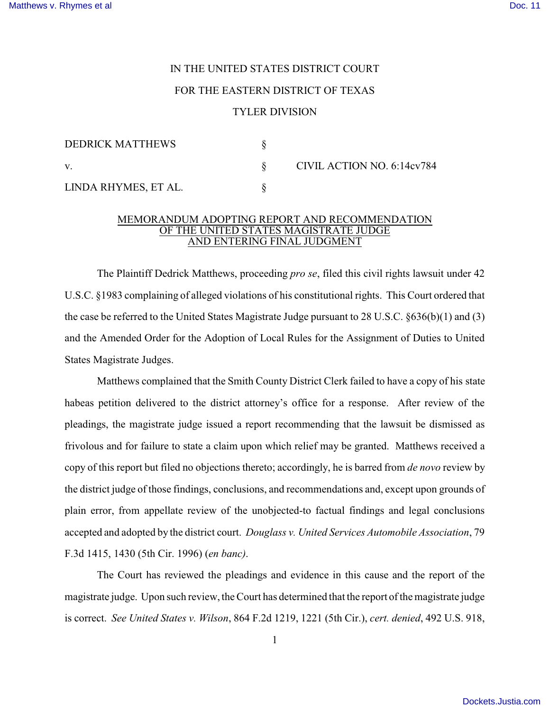## IN THE UNITED STATES DISTRICT COURT FOR THE EASTERN DISTRICT OF TEXAS TYLER DIVISION

| DEDRICK MATTHEWS     |                            |
|----------------------|----------------------------|
| V.                   | CIVIL ACTION NO. 6:14cv784 |
| LINDA RHYMES, ET AL. |                            |

## MEMORANDUM ADOPTING REPORT AND RECOMMENDATION OF THE UNITED STATES MAGISTRATE JUDGE AND ENTERING FINAL JUDGMENT

The Plaintiff Dedrick Matthews, proceeding *pro se*, filed this civil rights lawsuit under 42 U.S.C. §1983 complaining of alleged violations of his constitutional rights. This Court ordered that the case be referred to the United States Magistrate Judge pursuant to 28 U.S.C. §636(b)(1) and (3) and the Amended Order for the Adoption of Local Rules for the Assignment of Duties to United States Magistrate Judges.

 Matthews complained that the Smith County District Clerk failed to have a copy of his state habeas petition delivered to the district attorney's office for a response. After review of the pleadings, the magistrate judge issued a report recommending that the lawsuit be dismissed as frivolous and for failure to state a claim upon which relief may be granted. Matthews received a copy of this report but filed no objections thereto; accordingly, he is barred from *de novo* review by the district judge of those findings, conclusions, and recommendations and, except upon grounds of plain error, from appellate review of the unobjected-to factual findings and legal conclusions accepted and adopted by the district court. *Douglass v. United Services Automobile Association*, 79 F.3d 1415, 1430 (5th Cir. 1996) (*en banc)*.

The Court has reviewed the pleadings and evidence in this cause and the report of the magistrate judge. Upon such review, the Court has determined that the report of the magistrate judge is correct. *See United States v. Wilson*, 864 F.2d 1219, 1221 (5th Cir.), *cert. denied*, 492 U.S. 918,